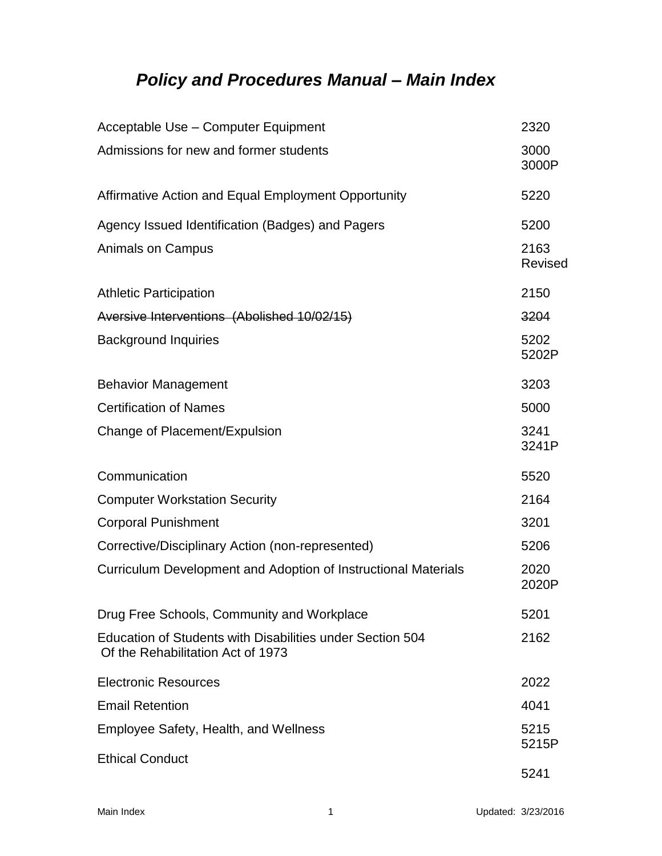## *Policy and Procedures Manual – Main Index*

| Acceptable Use - Computer Equipment                                                            | 2320                   |
|------------------------------------------------------------------------------------------------|------------------------|
| Admissions for new and former students                                                         | 3000<br>3000P          |
| Affirmative Action and Equal Employment Opportunity                                            | 5220                   |
| Agency Issued Identification (Badges) and Pagers                                               | 5200                   |
| <b>Animals on Campus</b>                                                                       | 2163<br><b>Revised</b> |
| <b>Athletic Participation</b>                                                                  | 2150                   |
| Aversive Interventions (Abolished 10/02/15)                                                    | 3204                   |
| <b>Background Inquiries</b>                                                                    | 5202<br>5202P          |
| <b>Behavior Management</b>                                                                     | 3203                   |
| <b>Certification of Names</b>                                                                  | 5000                   |
| Change of Placement/Expulsion                                                                  | 3241<br>3241P          |
| Communication                                                                                  | 5520                   |
| <b>Computer Workstation Security</b>                                                           | 2164                   |
| <b>Corporal Punishment</b>                                                                     | 3201                   |
| Corrective/Disciplinary Action (non-represented)                                               | 5206                   |
| Curriculum Development and Adoption of Instructional Materials                                 | 2020<br>2020P          |
| Drug Free Schools, Community and Workplace                                                     | 5201                   |
| Education of Students with Disabilities under Section 504<br>Of the Rehabilitation Act of 1973 | 2162                   |
| <b>Electronic Resources</b>                                                                    | 2022                   |
| <b>Email Retention</b>                                                                         | 4041                   |
| Employee Safety, Health, and Wellness                                                          | 5215<br>5215P          |
| <b>Ethical Conduct</b>                                                                         | 5241                   |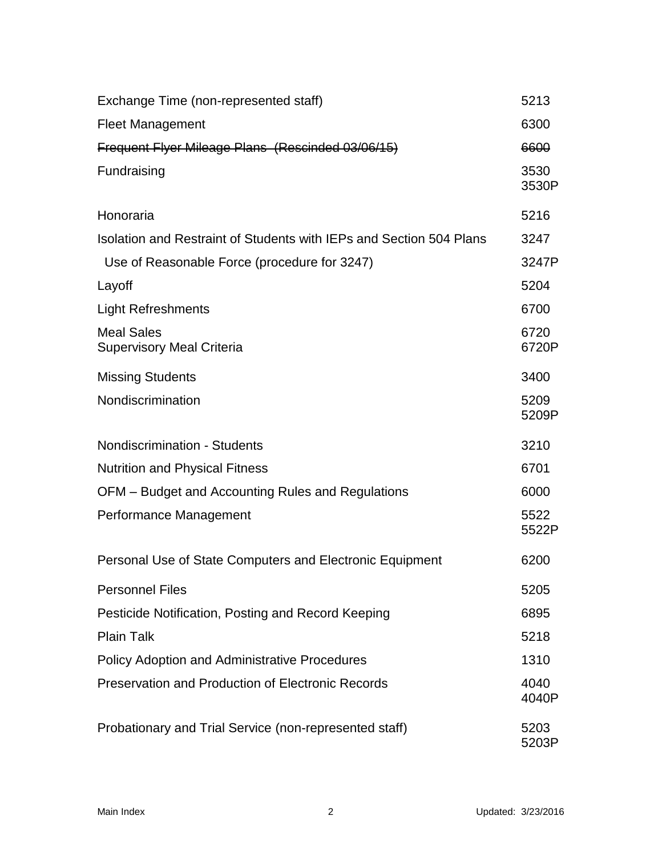| Exchange Time (non-represented staff)                               | 5213          |
|---------------------------------------------------------------------|---------------|
| <b>Fleet Management</b>                                             | 6300          |
| Frequent Flyer Mileage Plans (Rescinded 03/06/15)                   | 6600          |
| Fundraising                                                         | 3530<br>3530P |
| Honoraria                                                           | 5216          |
| Isolation and Restraint of Students with IEPs and Section 504 Plans | 3247          |
| Use of Reasonable Force (procedure for 3247)                        | 3247P         |
| Layoff                                                              | 5204          |
| <b>Light Refreshments</b>                                           | 6700          |
| <b>Meal Sales</b><br><b>Supervisory Meal Criteria</b>               | 6720<br>6720P |
| <b>Missing Students</b>                                             | 3400          |
| Nondiscrimination                                                   | 5209<br>5209P |
| <b>Nondiscrimination - Students</b>                                 | 3210          |
| <b>Nutrition and Physical Fitness</b>                               | 6701          |
| OFM - Budget and Accounting Rules and Regulations                   | 6000          |
| Performance Management                                              | 5522<br>5522P |
| Personal Use of State Computers and Electronic Equipment            | 6200          |
| <b>Personnel Files</b>                                              | 5205          |
| Pesticide Notification, Posting and Record Keeping                  | 6895          |
| <b>Plain Talk</b>                                                   | 5218          |
| <b>Policy Adoption and Administrative Procedures</b>                | 1310          |
| <b>Preservation and Production of Electronic Records</b>            | 4040<br>4040P |
| Probationary and Trial Service (non-represented staff)              | 5203<br>5203P |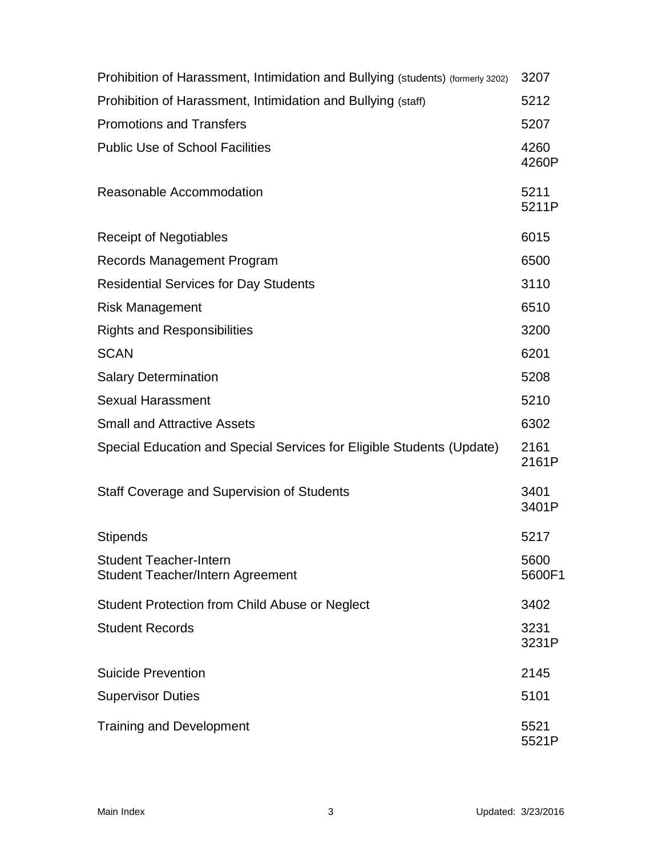| Prohibition of Harassment, Intimidation and Bullying (students) (formerly 3202) | 3207           |
|---------------------------------------------------------------------------------|----------------|
| Prohibition of Harassment, Intimidation and Bullying (staff)                    | 5212           |
| <b>Promotions and Transfers</b>                                                 | 5207           |
| <b>Public Use of School Facilities</b>                                          | 4260<br>4260P  |
| Reasonable Accommodation                                                        | 5211<br>5211P  |
| <b>Receipt of Negotiables</b>                                                   | 6015           |
| Records Management Program                                                      | 6500           |
| <b>Residential Services for Day Students</b>                                    | 3110           |
| <b>Risk Management</b>                                                          | 6510           |
| <b>Rights and Responsibilities</b>                                              | 3200           |
| <b>SCAN</b>                                                                     | 6201           |
| <b>Salary Determination</b>                                                     | 5208           |
| <b>Sexual Harassment</b>                                                        | 5210           |
| <b>Small and Attractive Assets</b>                                              | 6302           |
| Special Education and Special Services for Eligible Students (Update)           | 2161<br>2161P  |
| Staff Coverage and Supervision of Students                                      | 3401<br>3401P  |
| <b>Stipends</b>                                                                 | 5217           |
| <b>Student Teacher-Intern</b><br><b>Student Teacher/Intern Agreement</b>        | 5600<br>5600F1 |
| Student Protection from Child Abuse or Neglect                                  | 3402           |
| <b>Student Records</b>                                                          | 3231<br>3231P  |
| <b>Suicide Prevention</b>                                                       | 2145           |
| <b>Supervisor Duties</b>                                                        | 5101           |
| <b>Training and Development</b>                                                 | 5521<br>5521P  |